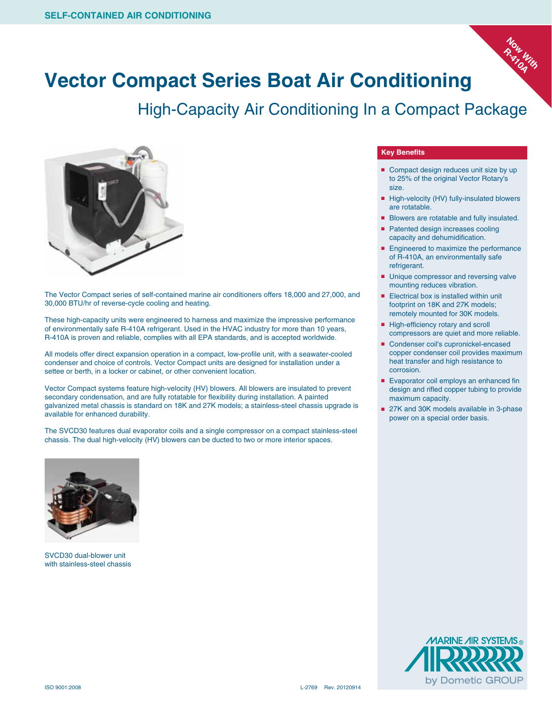

## **Vector Compact Series Boat Air Conditioning**

High-Capacity Air Conditioning In a Compact Package



The Vector Compact series of self-contained marine air conditioners offers 18,000 and 27,000, and 30,000 BTU/hr of reverse-cycle cooling and heating.

These high-capacity units were engineered to harness and maximize the impressive performance of environmentally safe R-410A refrigerant. Used in the HVAC industry for more than 10 years, R-410A is proven and reliable, complies with all EPA standards, and is accepted worldwide.

All models offer direct expansion operation in a compact, low-profile unit, with a seawater-cooled condenser and choice of controls. Vector Compact units are designed for installation under a settee or berth, in a locker or cabinet, or other convenient location.

Vector Compact systems feature high-velocity (HV) blowers. All blowers are insulated to prevent secondary condensation, and are fully rotatable for flexibility during installation. A painted galvanized metal chassis is standard on 18K and 27K models; a stainless-steel chassis upgrade is available for enhanced durability.

The SVCD30 features dual evaporator coils and a single compressor on a compact stainless-steel chassis. The dual high-velocity (HV) blowers can be ducted to two or more interior spaces.

## **Key Benefits**

- Compact design reduces unit size by up to 25% of the original Vector Rotary's size.
- High-velocity (HV) fully-insulated blowers are rotatable.
- Blowers are rotatable and fully insulated.
- Patented design increases cooling capacity and dehumidification.
- Engineered to maximize the performance of R-410A, an environmentally safe refrigerant.
- Unique compressor and reversing valve mounting reduces vibration.
- Electrical box is installed within unit footprint on 18K and 27K models; remotely mounted for 30K models.
- High-efficiency rotary and scroll compressors are quiet and more reliable.
- Condenser coil's cupronickel-encased copper condenser coil provides maximum heat transfer and high resistance to corrosion.
- Evaporator coil employs an enhanced fin design and rifled copper tubing to provide maximum capacity.
- 27K and 30K models available in 3-phase power on a special order basis.



SVCD30 dual-blower unit with stainless-steel chassis